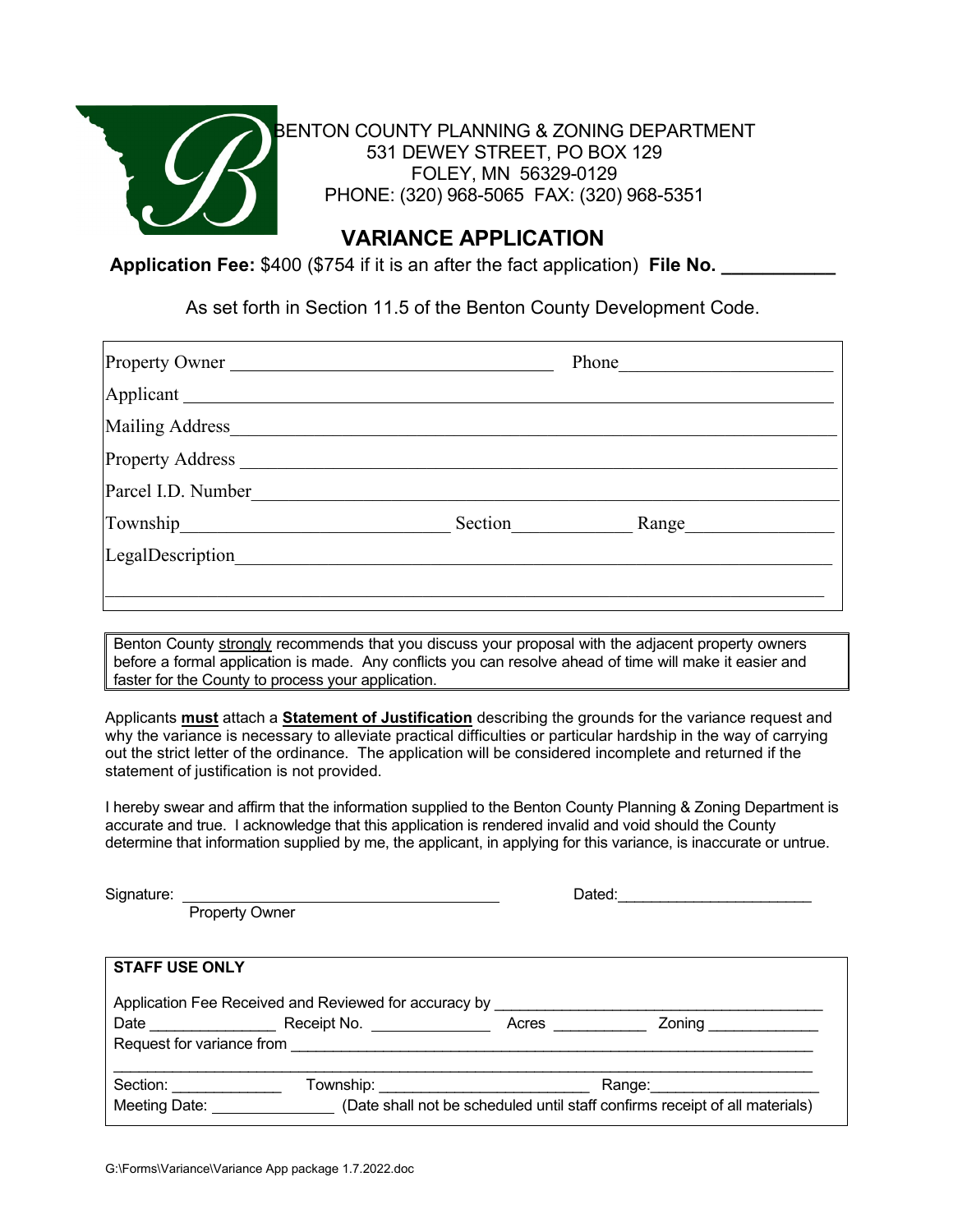

BENTON COUNTY PLANNING & ZONING DEPARTMENT 531 DEWEY STREET, PO BOX 129 FOLEY, MN 56329-0129 PHONE: (320) 968-5065 FAX: (320) 968-5351

## **VARIANCE APPLICATION**

**Application Fee:** \$400 (\$754 if it is an after the fact application) **File No. \_\_\_\_\_\_\_\_\_\_\_**

As set forth in Section 11.5 of the Benton County Development Code.

| Property Owner     |         | Phone |
|--------------------|---------|-------|
| Applicant          |         |       |
| Mailing Address    |         |       |
| Property Address   |         |       |
| Parcel I.D. Number |         |       |
| Township________   | Section | Range |
| LegalDescription   |         |       |
|                    |         |       |

Benton County strongly recommends that you discuss your proposal with the adjacent property owners before a formal application is made. Any conflicts you can resolve ahead of time will make it easier and faster for the County to process your application.

Applicants **must** attach a **Statement of Justification** describing the grounds for the variance request and why the variance is necessary to alleviate practical difficulties or particular hardship in the way of carrying out the strict letter of the ordinance. The application will be considered incomplete and returned if the statement of justification is not provided.

I hereby swear and affirm that the information supplied to the Benton County Planning & Zoning Department is accurate and true. I acknowledge that this application is rendered invalid and void should the County determine that information supplied by me, the applicant, in applying for this variance, is inaccurate or untrue.

| Signature:            |                                                                                           | Dated:                   |                       |  |  |  |  |  |
|-----------------------|-------------------------------------------------------------------------------------------|--------------------------|-----------------------|--|--|--|--|--|
|                       | Property Owner                                                                            |                          |                       |  |  |  |  |  |
|                       |                                                                                           |                          |                       |  |  |  |  |  |
| <b>STAFF USE ONLY</b> |                                                                                           |                          |                       |  |  |  |  |  |
|                       | Application Fee Received and Reviewed for accuracy by __________________________          |                          |                       |  |  |  |  |  |
|                       |                                                                                           | Acres <b>Acres Acres</b> | Zoning ______________ |  |  |  |  |  |
|                       |                                                                                           |                          |                       |  |  |  |  |  |
|                       | Section:                                                                                  |                          |                       |  |  |  |  |  |
|                       | Meeting Date: (Date shall not be scheduled until staff confirms receipt of all materials) |                          |                       |  |  |  |  |  |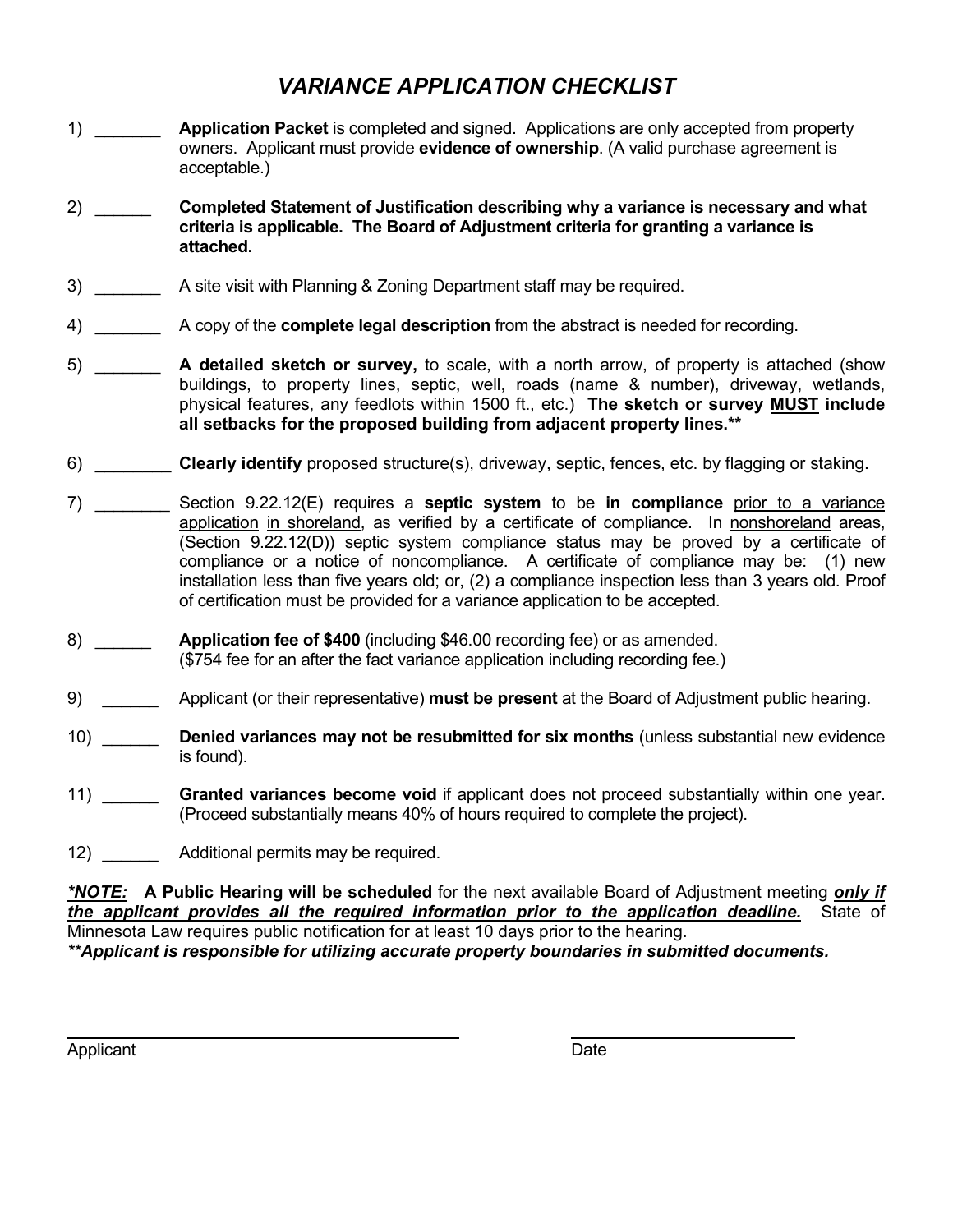# *VARIANCE APPLICATION CHECKLIST*

- 1) \_\_\_\_\_\_\_ **Application Packet** is completed and signed. Applications are only accepted from property owners. Applicant must provide **evidence of ownership**. (A valid purchase agreement is acceptable.)
- 2) \_\_\_\_\_\_ **Completed Statement of Justification describing why a variance is necessary and what criteria is applicable. The Board of Adjustment criteria for granting a variance is attached.**
- 3) \_\_\_\_\_\_\_ A site visit with Planning & Zoning Department staff may be required.
- 4) \_\_\_\_\_\_\_ A copy of the **complete legal description** from the abstract is needed for recording.
- 5) \_\_\_\_\_\_\_ **A detailed sketch or survey,** to scale, with a north arrow, of property is attached (show buildings, to property lines, septic, well, roads (name & number), driveway, wetlands, physical features, any feedlots within 1500 ft., etc.) **The sketch or survey MUST include all setbacks for the proposed building from adjacent property lines.\*\***
- 6) \_\_\_\_\_\_\_\_ **Clearly identify** proposed structure(s), driveway, septic, fences, etc. by flagging or staking.
- 7) \_\_\_\_\_\_\_\_ Section 9.22.12(E) requires a **septic system** to be **in compliance** prior to a variance application in shoreland, as verified by a certificate of compliance. In nonshoreland areas, (Section 9.22.12(D)) septic system compliance status may be proved by a certificate of compliance or a notice of noncompliance. A certificate of compliance may be: (1) new installation less than five years old; or, (2) a compliance inspection less than 3 years old. Proof of certification must be provided for a variance application to be accepted.
- 8) \_\_\_\_\_\_ **Application fee of \$400** (including \$46.00 recording fee) or as amended. (\$754 fee for an after the fact variance application including recording fee.)
- 9) \_\_\_\_\_\_ Applicant (or their representative) **must be present** at the Board of Adjustment public hearing.
- 10) **Denied variances may not be resubmitted for six months** (unless substantial new evidence is found).
- 11) \_\_\_\_\_\_ **Granted variances become void** if applicant does not proceed substantially within one year. (Proceed substantially means 40% of hours required to complete the project).
- 12) **Additional permits may be required.**

*\*NOTE:* **A Public Hearing will be scheduled** for the next available Board of Adjustment meeting *only if the applicant provides all the required information prior to the application deadline.* State of Minnesota Law requires public notification for at least 10 days prior to the hearing. *\*\*Applicant is responsible for utilizing accurate property boundaries in submitted documents.*

Applicant Date **Date**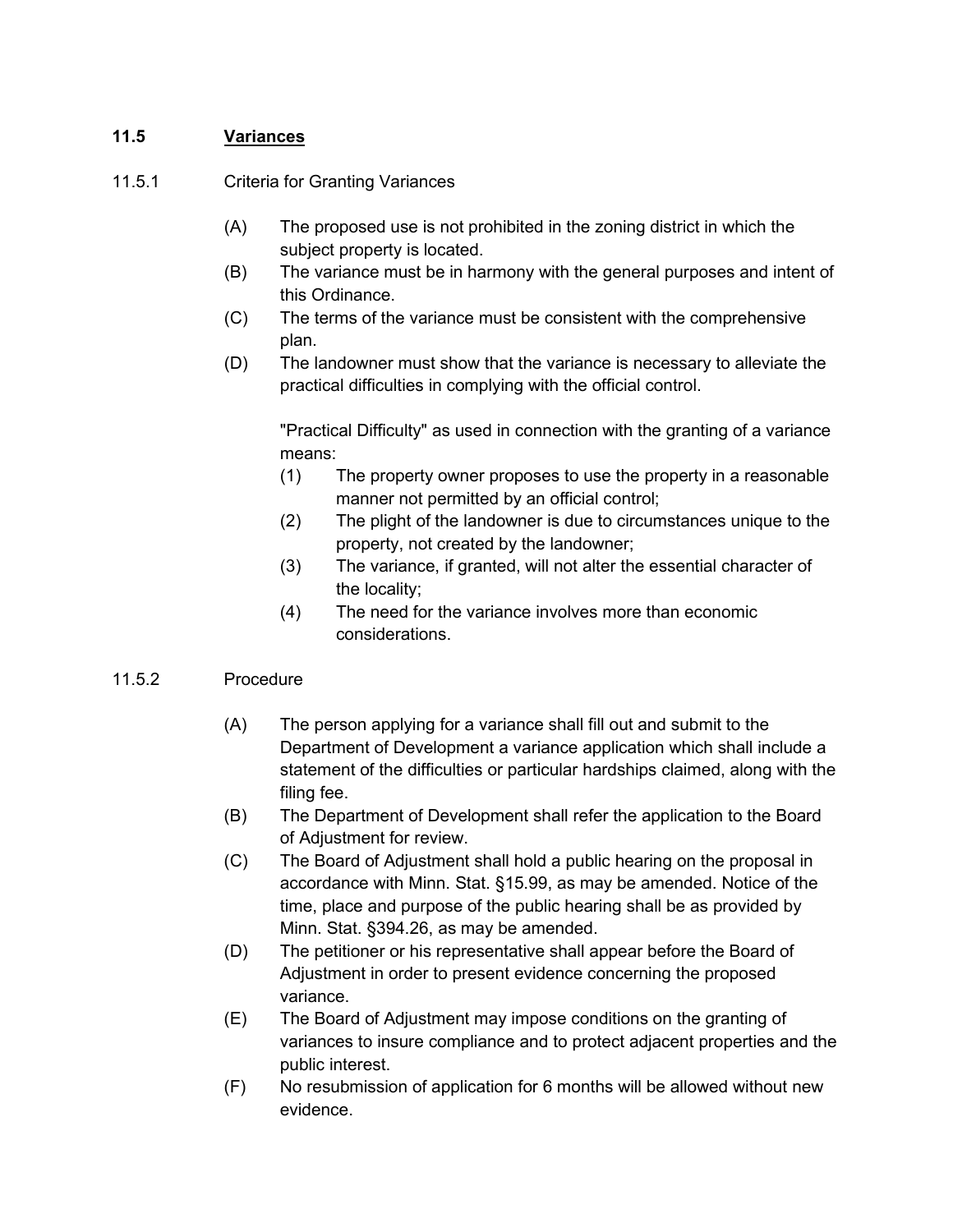### **11.5 Variances**

#### 11.5.1 Criteria for Granting Variances

- (A) The proposed use is not prohibited in the zoning district in which the subject property is located.
- (B) The variance must be in harmony with the general purposes and intent of this Ordinance.
- (C) The terms of the variance must be consistent with the comprehensive plan.
- (D) The landowner must show that the variance is necessary to alleviate the practical difficulties in complying with the official control.

"Practical Difficulty" as used in connection with the granting of a variance means:

- (1) The property owner proposes to use the property in a reasonable manner not permitted by an official control;
- (2) The plight of the landowner is due to circumstances unique to the property, not created by the landowner;
- (3) The variance, if granted, will not alter the essential character of the locality;
- (4) The need for the variance involves more than economic considerations.

#### 11.5.2 Procedure

- (A) The person applying for a variance shall fill out and submit to the Department of Development a variance application which shall include a statement of the difficulties or particular hardships claimed, along with the filing fee.
- (B) The Department of Development shall refer the application to the Board of Adjustment for review.
- (C) The Board of Adjustment shall hold a public hearing on the proposal in accordance with Minn. Stat. §15.99, as may be amended. Notice of the time, place and purpose of the public hearing shall be as provided by Minn. Stat. §394.26, as may be amended.
- (D) The petitioner or his representative shall appear before the Board of Adjustment in order to present evidence concerning the proposed variance.
- (E) The Board of Adjustment may impose conditions on the granting of variances to insure compliance and to protect adjacent properties and the public interest.
- (F) No resubmission of application for 6 months will be allowed without new evidence.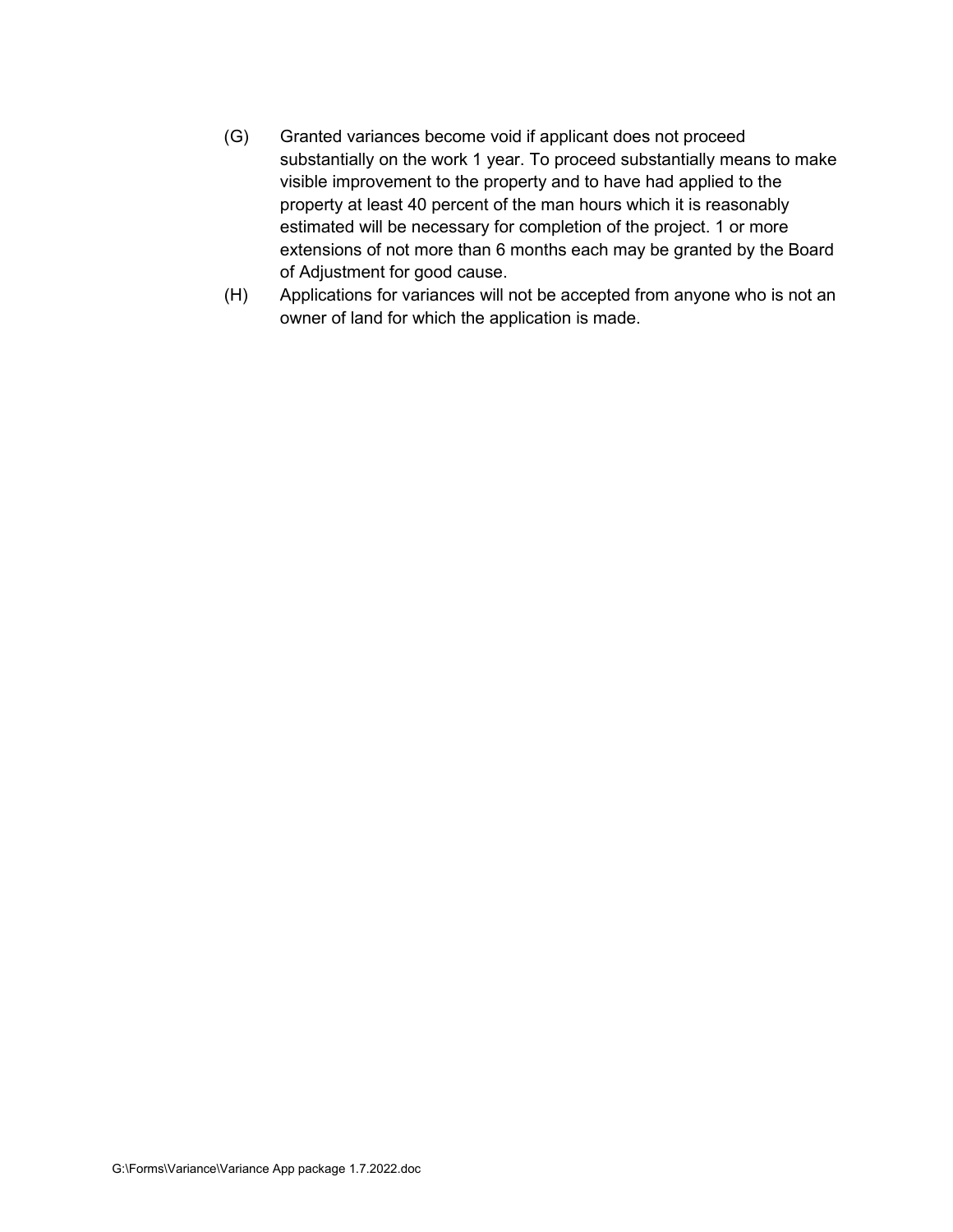- (G) Granted variances become void if applicant does not proceed substantially on the work 1 year. To proceed substantially means to make visible improvement to the property and to have had applied to the property at least 40 percent of the man hours which it is reasonably estimated will be necessary for completion of the project. 1 or more extensions of not more than 6 months each may be granted by the Board of Adjustment for good cause.
- (H) Applications for variances will not be accepted from anyone who is not an owner of land for which the application is made.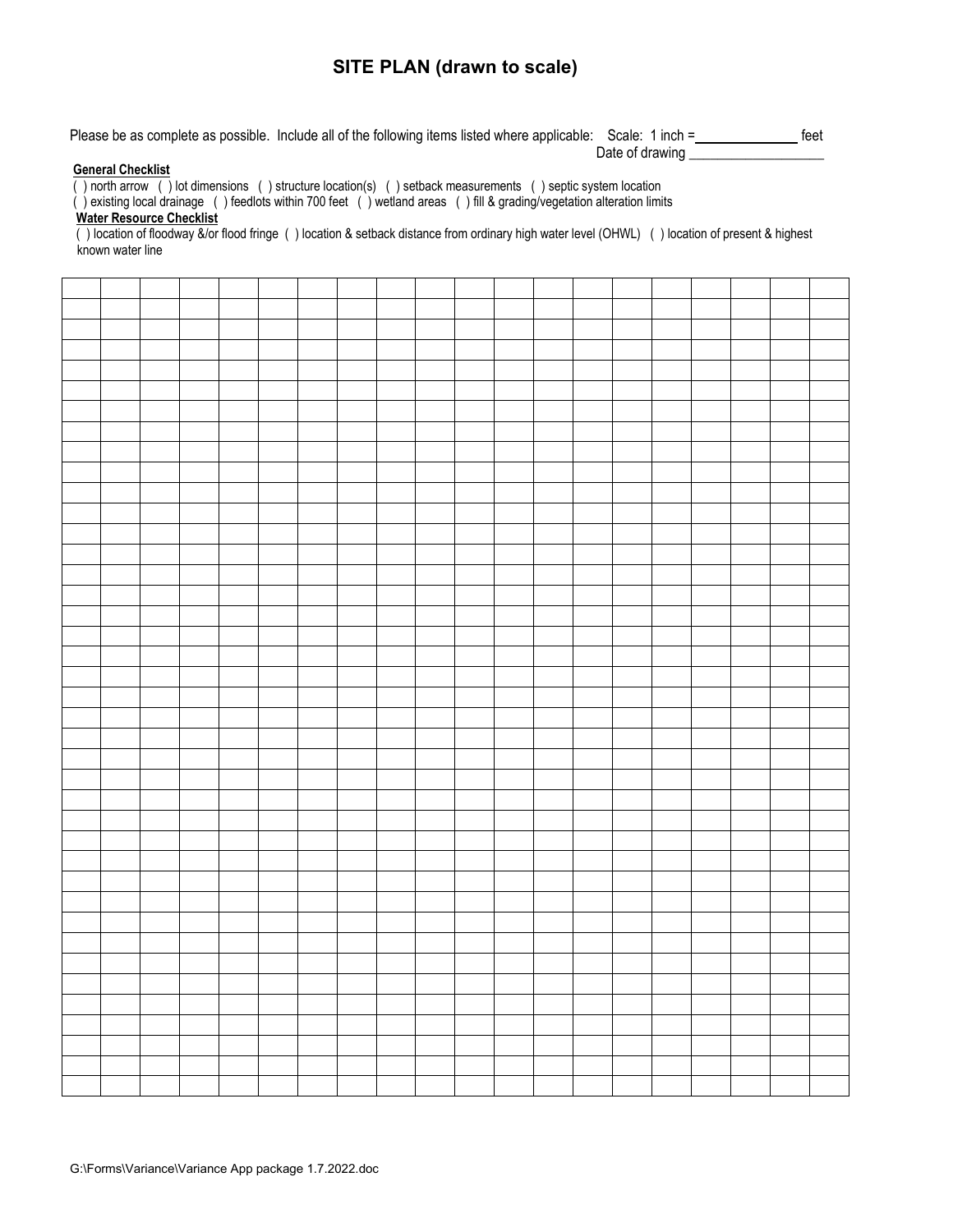### **SITE PLAN (drawn to scale)**

Please be as complete as possible. Include all of the following items listed where applicable: Scale: 1 inch = Date of drawing \_\_\_\_\_\_\_\_\_\_\_\_\_\_\_\_\_\_\_

#### **General Checklist**

( ) north arrow ( ) lot dimensions ( ) structure location(s) ( ) setback measurements ( ) septic system location

( ) existing local drainage ( ) feedlots within 700 feet ( ) wetland areas ( ) fill & grading/vegetation alteration limits

**Water Resource Checklist**

 ( ) location of floodway &/or flood fringe ( ) location & setback distance from ordinary high water level (OHWL) ( ) location of present & highest known water line